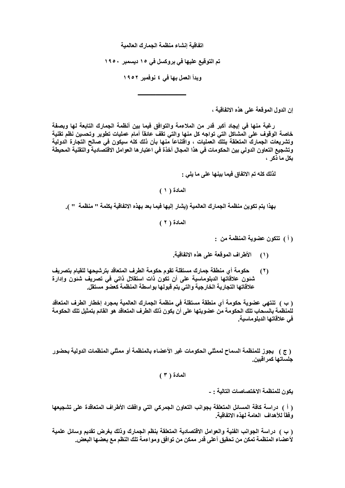اتفاقية إنشاء منظمة الجمارك العالمية

تم التوقيع عليها في بروكسل في ١٥ ديسمبر ١٩٥٠

وبدأ العمل بها في ٤ نوفمبر ١٩٥٢

إن الدول الموقعة على هذه الاتفاقية ،

رغبة منها في إيجاد أكبر قدر من الملاءمة والتوافق فيما بين أنظمة الجمارك التابعة لها ويصفة خاصة الوقوف على المشاكل التي تواجه كل منها والتي تقف عانقاً أمام عمليات تطوير وتحسين نظم تقنية وتشريعات الجمارك المتعلقة بتلك العمليات ، واقتناعاً منها بأن ذلك كله سيكون فى صالح التجارة الدولية وتشجيع التعاون الدولى بين الحكومات فى هذا المجال آخذة فى اعتبار ها العوامل الاقتصادية والتقنية المحيطة بكل ما ذكر ،

لذلك كله تم الاتفاق فيما بينها على ما يلي :

المعادة ( ١ )

بهذا يتم تكوين منظمة الجمارك العالمية (يشار إليها فيما بعد بهذه الاتفاقية بكلمة '' منظمة '' ).

المادة ( ٢ )

( أ ) تتكون عضوية المنظمة من :

- الأطراف الموقعة على هذه الاتفاقية.  $(1)$
- حكومة أي منطقة جمارك مستقلة تقوم حكومة الطرف المتعاقد بترشيحها للقيام بتصريف  $(1)$ شنون علاقاتها الدبلوماسية على أن تكون ذات استقلال ذاتي في تصريف شنون وإدارة علاقاتها التجارية الخارجية والتي يتم قبولها بواسطة المنظمة كعضو مستقل.

( ب ) تنتهى عضوية حكومة أي منطقة مستقلة في منظمة الجمارك العالمية بمجرد إخطار الطرف المتعاقد للمنظمة بالسحاب تلك الحكومة من عضويتها على أن يكون ذلك الطرف المتعاقد هو القائم بتمثيل تلك الحكومة في علاقاتها الدبلو ماسية.

( ج ) يجوز للمنظمة السماح لممثلي الحكومات غير الأعضاء بالمنظمة أو ممثلي المنظمات الدولية بحضور حلساتها كمر اقبين

المادة ( ٣ )

يكون للمنظمة الاختصاصات التالية : -

( أ ) دراسة كافة المسائل المتعلقة بجوانب التعاون الجمركي التي وافقت الأطراف المتعاقدة على تشجيعها وفقاً للأهداف العامة لهذه الاتفاقية

( ب ) دراسة الجوانب الفنية والعوامل الاقتصادية المتعلقة بنظم الجمارك وذلك بغرض تقديم وسائل علمية لأعضاء المنظمة تمكن من تحقيق أعلى قدر ممكن من توافق ومواءمة تلك النظم مع بعضها البعض.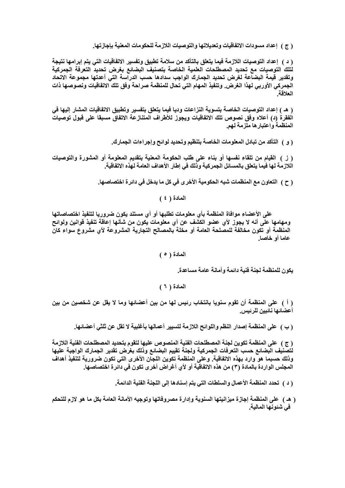( ج ) إعداد مسودات الاتفاقيات وتعديلاتها والتوصيات اللازمة للحكومات المعنية بإجازتها.

( د ) إعداد التوصيات اللازمة فيما يتعلق بالتأكد من سلامة تطبيق وتفسير الاتفاقيات التي يتم إبرامها نتيجة لتلك التوصيات مع تحديد المصطلحات العلمية الخاصة بتصنيف البضائع بغرض تحديد التعرفة الجمركية وتقدير قيمة البضاعة لغرض تحديد الجمارك الواجب سدادها حسب الدراسة التى أعدتها مجموعة الاتحاد الجمركي الأوربي لهذا الغرض. وتنفيذ المهام التي تحال للمنظمة صراحة وفق تلك الاتفاقيات ونصوصها ذات العلاقة

( هـ ) إعداد التوصيات الخاصة بتسوية النزاعات وديا فيما يتعلق بتفسير وتطبيق الاتفاقيات المشار إليها في الفقرة (د) أعلاه وفق نصوص تلك الاتفاقيات ويجوز للأطراف المتنازعة الاتفاق مسبقا على قبول توصيات المنظمة واعتبارها ملزمة لهم.

( و ) التأكد من تبادل المعلومات الخاصة بتنظيم وتحديد لوائح وإجراءات الجمارك.

( ز ) القيام من تلقاء نفسها أو بناء على طلب الحكومة المعنية بتقديم المعلومة أو المشورة والتوصيات اللازمة لها فيما يتعلق بالمسائل الجمركية وذلك في إطار الأهداف العامة لهذه الاتفاقية.

المادة ( ٤ )

على الأعضاء موافاة المنظمة بأى معلومات تطلبها أو أى مستند يكون ضروريا لتنفيذ اختصاصاتها ومهامها على أنه لا يجوز لأي عضو الكشف عن أي معلومات يكون من شأنها إعاقة تنفيذ قوانين ولوائح المنظمة أو تكون مخالفة للمصلحة العامة أو مخلة بالمصالح التجارية المشروعة لأي مشروع سواء كان عاما أو خاصا.

المادة ( ٥ )

يكون للمنظمة لجنة فنية دائمة وأمانة عامة مساعدة.

المادة ( ٦ )

( أ ) على المنظمة أن تقوم سنويا بانتخاب رئيس لها من بين أعضائها وما لا يقل عن شخصين من بين أعضائها نائبين للرئيس.

( ب ) على المنظمة إصدار النظم واللوائح اللازمة لتسيير أعمالها بأغلبية لا تقل عن ثلثي أعضائها.

( ج ) على المنظمة تكوين لجنة المصطلحات الفنية المنصوص عليها لتقوم بتحديد المصطلحات الفنية اللازمة لتصنيف البضائع حسب التعرفات الجمركية ولجنة تقييم البضائع وذلك بغرض تقدير الجمارك الواجبة عليها وذلك حسبما هو وارد بهذه الاتفاقية. وعلى المنظمة تكوين اللجان الأخرى التي تكون ضرورية لتنفيذ أهداف المجلس الواردة بالمادة (٣) من هذه الاتفاقية أو لأي أغراض أخرى تكون في دائرة اختصاصها.

( د ) تحدد المنظمة الأعمال والسلطات التي يتم إسنادها إلى اللجنة الفنية الدائمة.

( هـ ) على المنظمة إجازة ميزانيتها السنوية وإدارة مصروفاتها وتوجيه الأمانة العامة بكل ما هو لازم للتحكم في شئونها المالية.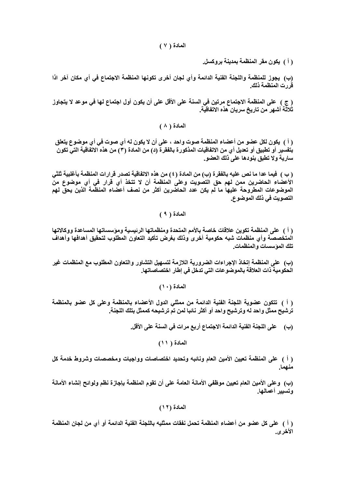المادة ( ٧ )

( أ ) يكون مقر المنظمة بمدينة بروكسل.

(ب) يجوز للمنظمة واللجنة الفنية الدائمة وأي لجان أخرى تكونها المنظمة الاجتماع في أي مكان آخر اذا قررت المنظمة ذلك.

( ج ) على المنظمة الاجتماع مرتين في السنة على الأقل على أن يكون أول اجتماع لها في موعد لا يتجاوز ثلاثة أشهر من تاريخ سريان هذه الاتفاقية.

المادة ( ٨ )

( أ ) يكون لكل عضو من أعضاء المنظمة صوت واحد ، على أن لا يكون له أي صوت في أي موضوع يتعلق بتفسير أو تطبيق أو تعديل أي من الاتفاقيات المذكورة بالفقرة (د) من المادة (٣) من هذه الاتفاقية التي تكون سارية ولا تطبق بنودها على ذلك العضو.

( ب ) فيما عدا ما نص عليه بالفقر ة (ب) من المادة ( ٤ ) من هذه الاتفاقية تصدر قرارات المنظمة بأغلبية ثلثي الأعضاء الحاضرين ممن لهم حق التصويت وعلى المنظمة أن لا تتخذ أي قرار في أي موضوع من الموضوعات المطروحة عليها ما لم يكن عدد الحاضرين أكثر من نصف أعضاء المنظمة الذين يحق لهم التصويت في ذلك الموضوع.

المادة ( ٩ )

( أ ) على المنظمة تكوين علاقات خاصة بالأمم المتحدة ومنظماتها الرئيسية ومؤسساتها المساعدة ووكالاتها المتخصصة وأى منظمات شبه حكومية أخرى وذلك بغرض تأكيد التعاون المطلوب لتحقيق أهدافها وأهداف تلك الموسسات والمنظمات

(ب) على المنظمة إتخاذ الإجراءات الضرورية اللازمة لتسهيل التشاور والتعاون المطلوب مع المنظمات غير الحكومية ذات العلاقة بالموضوعات التي تدخل في إطار اختصاصاتها.

المادة (١٠)

( أ ) تتكون عضوية اللجنة الفنية الدائمة من ممثلي الدول الأعضاء بالمنظمة وعلى كل عضو بالمنظمة ترشيح ممثل واحد له وترشيح واحد أو أكثر نائبا لمن تم ترشيحه كممثل بتلك اللجنة.

(ب) على اللجنة الفنية الدائمة الاجتماع أربع مرات في السنة على الأقل.

المادة ( ١١)

( أ ) على المنظمة تعيين الأمين العام ونائبه وتحديد اختصاصات وواجبات ومخصصات وشروط خدمة كل منهما.

(ب) وعلى الأمين العام تعيين موظفى الأمانـة الـعامـة على أن تقوم المنظمـة بإجازة نظم ولوائـح إنشاء الأمانـة وتسبير أعمالها

المادة (١٢)

( أ ) على كل عضو من أعضاء المنظمة تحمل نفقات ممثليه باللجنة الفنية الدائمة أو أي من لجان المنظمة الأخرى.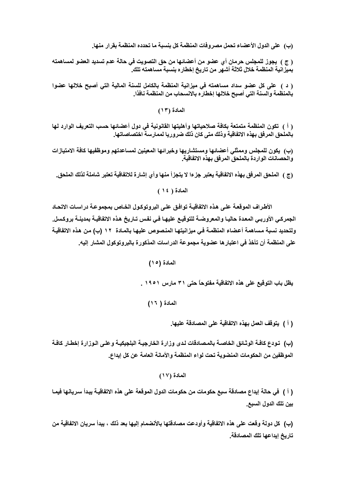(ب) على الدول الأعضاء تحمل مصروفات المنظمة كل بنسبة ما تحدده المنظمة بقرار منها.

( ج ) يجوز للمجلس حرمان أي عضو من أعضائها من حق التصويت في حالة عدم تسديد العضو لمساهمته بميز أنية المنظمة خلال ثلاثة أشهر من تاريخ إخطاره بنسبة مساهمته تلك.

( د ) على كل عضو سداد مساهمته في ميزانية المنظمة بالكامل للسنة المالية التي أصبح خلالها عضوا بالمنظمة والسنة التي أصبح خلالها إخطاره بالانسحاب من المنظمة نافذا.

المعادة (١٣)

( أ ) تكون المنظمة متمتعة بكافة صلاحياتها وأهليتها القانونية في دول أعضائها حسب التعريف الوارد لها بالملحق المرفق بهذه الاتفاقية وذلك متى كان ذلك ضروريا لممارسة اختصاصاتها.

(ب) يكون للمجلس وممثلي أعضائها ومستشاريها وخبرائها المعينين لمساعدتهم وموظفيها كافة الامتيازات<br>والحصانات الواردة بالملحق المرفق بهذه الاتفاقية.

(ج ) الملحق المرفق بهذه الاتفاقية يعتبر جزءا لا يتجزأ منها وأي إشارة للاتفاقية تعتبر شاملة لذلك الملحق.

المادة ( ١٤ )

الأطراف الموقعة على هذه الاتفاقية توافق على البروتوكول الخاص بمجموعة دراسات الاتحاد الجمركـي الأوربـي المعدة حاليـا والمعروضـة للتوقيـع عليهـا فـي نفس تـاريخ هذه الاتفاقيـة بمدينـة بروكسل. ولتحديد نسبة مساهمة أعضاء المنظمة في ميزانيتها المنصوص عليها بالمـادة ١٢ (ب) من هذه الاتفاقيـة على المنظمة أن تأخذ في اعتبار ها عضوية مجموعة الدراسات المذكورة بالبروتوكول المشار إليه.

المادة (١٥)

يظل باب التوقيع على هذه الاتفاقية مفتوحاً حتى ٣١ مارس ١٩٥١ .

المادة ( ١٦)

( أ ) يتوقف العمل بهذه الاتفاقية على المصادقة عليها.

(ب) تـودع كافــة الوثـائق الخاصــة بالمـصادقات لـدى وزارة الخارجيــة البلجيكيــة وعلـى الـوزارة إخطـار كافــة الموظفين من الحكومات المنضوية تحت لواء المنظمة والأمانة العامة عن كل إيداع.

المادة (١٧)

( أ ) في حالة إيداع مصادقة سبع حكومات من حكومات الدول الموقعة على هذه الاتفاقيـة يبدأ سر يانـها فيمـا بين تلك الدول السبع.

(ب) كل دولة وقعت على هذه الاتفاقية وأودعت مصادقتها بالأنضمام إليها بعد ذلك ، يبدأ سريان الاتفاقية من تاريخ إيداعها تلك المصادقة.